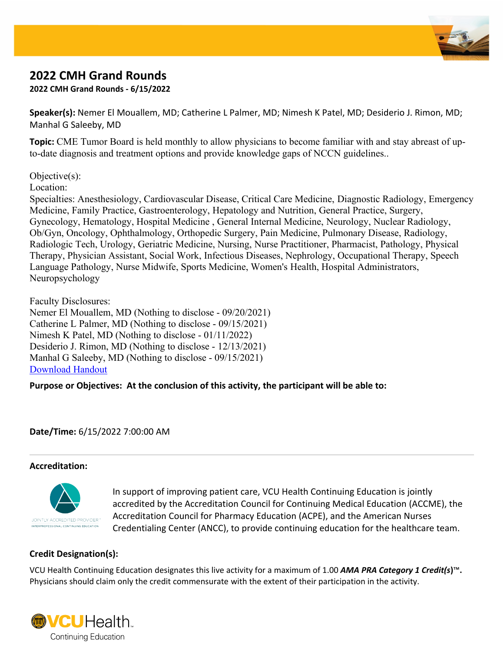

# **2022 CMH Grand Rounds**

**2022 CMH Grand Rounds - 6/15/2022**

**Speaker(s):** Nemer El Mouallem, MD; Catherine L Palmer, MD; Nimesh K Patel, MD; Desiderio J. Rimon, MD; Manhal G Saleeby, MD

**Topic:** CME Tumor Board is held monthly to allow physicians to become familiar with and stay abreast of upto-date diagnosis and treatment options and provide knowledge gaps of NCCN guidelines..

Objective(s):

Location:

Specialties: Anesthesiology, Cardiovascular Disease, Critical Care Medicine, Diagnostic Radiology, Emergency Medicine, Family Practice, Gastroenterology, Hepatology and Nutrition, General Practice, Surgery, Gynecology, Hematology, Hospital Medicine , General Internal Medicine, Neurology, Nuclear Radiology, Ob/Gyn, Oncology, Ophthalmology, Orthopedic Surgery, Pain Medicine, Pulmonary Disease, Radiology, Radiologic Tech, Urology, Geriatric Medicine, Nursing, Nurse Practitioner, Pharmacist, Pathology, Physical Therapy, Physician Assistant, Social Work, Infectious Diseases, Nephrology, Occupational Therapy, Speech Language Pathology, Nurse Midwife, Sports Medicine, Women's Health, Hospital Administrators, Neuropsychology

Faculty Disclosures: Nemer El Mouallem, MD (Nothing to disclose - 09/20/2021) Catherine L Palmer, MD (Nothing to disclose - 09/15/2021) Nimesh K Patel, MD (Nothing to disclose - 01/11/2022) Desiderio J. Rimon, MD (Nothing to disclose - 12/13/2021) Manhal G Saleeby, MD (Nothing to disclose - 09/15/2021) [Download](https://vcu.cloud-cme.com/Assets/VCU/activities/24455/Brochure_24455.pdf) [Handout](https://vcu.cloud-cme.com/Assets/VCU/activities/24455/Brochure_24455.pdf)

**Purpose or Objectives: At the conclusion of this activity, the participant will be able to:**

**Date/Time:** 6/15/2022 7:00:00 AM

## **Accreditation:**



In support of improving patient care, VCU Health Continuing Education is jointly accredited by the Accreditation Council for Continuing Medical Education (ACCME), the Accreditation Council for Pharmacy Education (ACPE), and the American Nurses Credentialing Center (ANCC), to provide continuing education for the healthcare team.

## **Credit Designation(s):**

VCU Health Continuing Education designates this live activity for a maximum of 1.00 *AMA PRA Category 1 Credit(s***)**™**.** Physicians should claim only the credit commensurate with the extent of their participation in the activity.